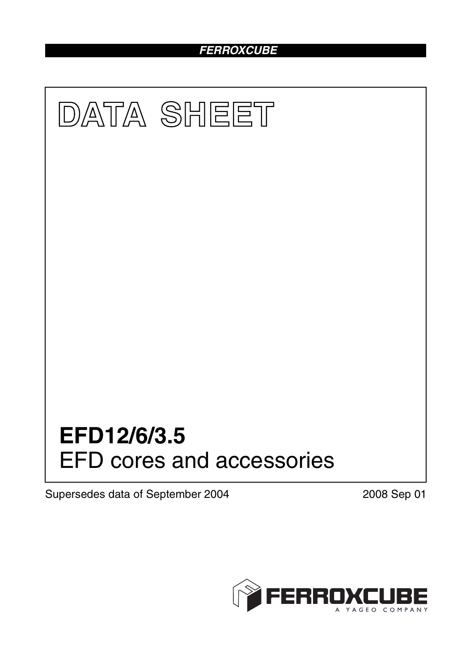# *FERROXCUBE*



Supersedes data of September 2004 2008 Sep 01

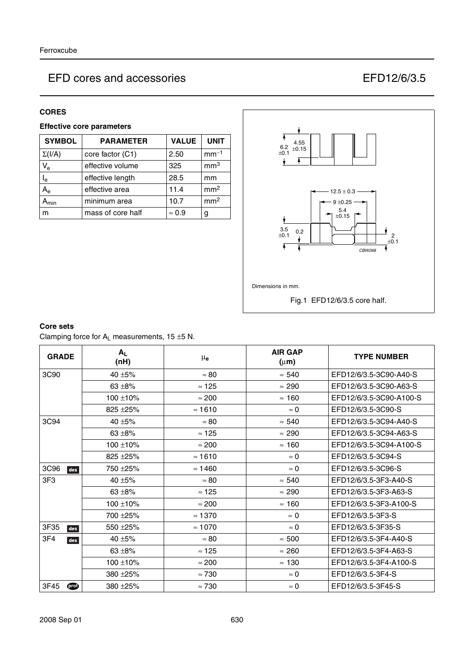### **CORES**

## **Effective core parameters**

| <b>SYMBOL</b> | <b>PARAMETER</b>  | <b>VALUE</b>  | <b>UNIT</b>     |
|---------------|-------------------|---------------|-----------------|
| $\Sigma(I/A)$ | core factor (C1)  | 2.50          | $mm-1$          |
| $V_{e}$       | effective volume  | 325           | mm <sup>3</sup> |
| $I_e$         | effective length  | 28.5          | mm              |
| $A_{\rm e}$   | effective area    | 11.4          | mm <sup>2</sup> |
| min           | minimum area      | 10.7          | mm <sup>2</sup> |
| m             | mass of core half | $\approx 0.9$ | g               |



#### **Core sets**

Clamping force for  $A_L$  measurements, 15  $\pm$ 5 N.

| <b>GRADE</b>    | $A_{L}$<br>(nH) | $\mu_{\mathbf{e}}$ | <b>AIR GAP</b><br>$(\mu m)$ | <b>TYPE NUMBER</b>      |
|-----------------|-----------------|--------------------|-----------------------------|-------------------------|
| 3C90            | 40 ±5%          | $\approx 80$       | $\approx 540$               | EFD12/6/3.5-3C90-A40-S  |
|                 | $63 + 8%$       | $\approx$ 125      | $\approx 290$               | EFD12/6/3.5-3C90-A63-S  |
|                 | $100 + 10%$     | $\approx 200$      | $\approx$ 160               | EFD12/6/3.5-3C90-A100-S |
|                 | 825 ± 25%       | $\approx 1610$     | $\approx 0$                 | EFD12/6/3.5-3C90-S      |
| 3C94            | 40 $\pm$ 5%     | $\approx 80$       | $\approx 540$               | EFD12/6/3.5-3C94-A40-S  |
|                 | 63 $\pm$ 8%     | $\approx$ 125      | $\approx 290$               | EFD12/6/3.5-3C94-A63-S  |
|                 | $100 + 10%$     | $\approx 200$      | $\approx$ 160               | EFD12/6/3.5-3C94-A100-S |
|                 | $825 + 25%$     | $\approx$ 1610     | $\approx$ 0                 | EFD12/6/3.5-3C94-S      |
| 3C96<br>des     | 750 ± 25%       | $\approx$ 1460     | $\approx 0$                 | EFD12/6/3.5-3C96-S      |
| 3F <sub>3</sub> | 40 $\pm$ 5%     | $\approx 80$       | $\approx 540$               | EFD12/6/3.5-3F3-A40-S   |
|                 | $63 + 8%$       | $\approx$ 125      | $\approx 290$               | EFD12/6/3.5-3F3-A63-S   |
|                 | $100 + 10%$     | $\approx 200$      | $\approx$ 160               | EFD12/6/3.5-3F3-A100-S  |
|                 | 700 ± 25%       | $\approx$ 1370     | $\approx 0$                 | EFD12/6/3.5-3F3-S       |
| 3F35<br>des     | 550 ± 25%       | $\approx 1070$     | $\approx 0$                 | EFD12/6/3.5-3F35-S      |
| 3F4<br>des      | 40 $\pm$ 5%     | $\approx 80$       | $\approx 500$               | EFD12/6/3.5-3F4-A40-S   |
|                 | $63 + 8\%$      | $\approx$ 125      | $\approx 260$               | EFD12/6/3.5-3F4-A63-S   |
|                 | $100 + 10%$     | $\approx 200$      | $\approx$ 130               | EFD12/6/3.5-3F4-A100-S  |
|                 | 380 ± 25%       | $\approx 730$      | $\approx 0$                 | EFD12/6/3.5-3F4-S       |
| 3F45<br>ത       | 380 ± 25%       | $\approx 730$      | $\approx 0$                 | EFD12/6/3.5-3F45-S      |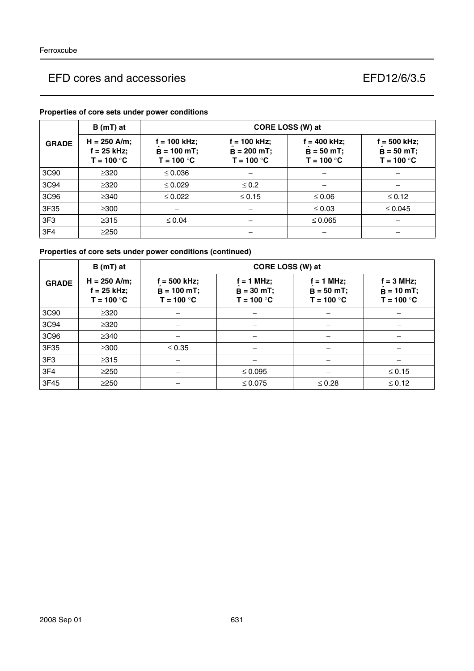|                 | $B(mT)$ at                                      | CORE LOSS (W) at                                |                                                 |                                                 |                                                 |
|-----------------|-------------------------------------------------|-------------------------------------------------|-------------------------------------------------|-------------------------------------------------|-------------------------------------------------|
| <b>GRADE</b>    | $H = 250$ A/m;<br>$f = 25$ kHz;<br>$T = 100 °C$ | $f = 100$ kHz;<br>$B = 100$ mT;<br>$T = 100 °C$ | $f = 100$ kHz;<br>$B = 200$ mT;<br>$T = 100 °C$ | $f = 400$ kHz;<br>$B = 50 mT$ ;<br>$T = 100 °C$ | $f = 500$ kHz;<br>$B = 50 mT$ ;<br>$T = 100 °C$ |
| 3C90            | $\geq 320$                                      | $\leq 0.036$                                    |                                                 |                                                 |                                                 |
| 3C94            | $\geq$ 320                                      | $\leq 0.029$                                    | $\leq 0.2$                                      |                                                 |                                                 |
| 3C96            | $\geq$ 340                                      | $\leq 0.022$                                    | $\leq 0.15$                                     | $\leq 0.06$                                     | $\leq 0.12$                                     |
| 3F35            | $\geq$ 300                                      |                                                 |                                                 | $\leq 0.03$                                     | $\leq 0.045$                                    |
| 3F <sub>3</sub> | $\geq 315$                                      | $\leq 0.04$                                     |                                                 | $\leq 0.065$                                    |                                                 |
| 3F4             | $\geq$ 250                                      |                                                 |                                                 |                                                 |                                                 |

## **Properties of core sets under power conditions**

## **Properties of core sets under power conditions (continued)**

|                 | $B(mT)$ at                                      | CORE LOSS (W) at                                |                                              |                                            |                                               |
|-----------------|-------------------------------------------------|-------------------------------------------------|----------------------------------------------|--------------------------------------------|-----------------------------------------------|
| <b>GRADE</b>    | $H = 250$ A/m;<br>$f = 25$ kHz;<br>$T = 100 °C$ | $f = 500$ kHz;<br>$B = 100 mT;$<br>$T = 100 °C$ | $f = 1$ MHz;<br>$B = 30 mT;$<br>$T = 100 °C$ | $= 1$ MHz;<br>$B = 50$ mT;<br>$T = 100 °C$ | $f = 3 MHz$ ;<br>$B = 10$ mT;<br>$T = 100 °C$ |
| 3C90            | $\geq$ 320                                      |                                                 |                                              |                                            |                                               |
| 3C94            | $\geq 320$                                      |                                                 |                                              |                                            |                                               |
| 3C96            | $\geq$ 340                                      |                                                 |                                              |                                            |                                               |
| 3F35            | $\geq 300$                                      | $\leq 0.35$                                     |                                              |                                            |                                               |
| 3F <sub>3</sub> | $\geq 315$                                      |                                                 |                                              |                                            |                                               |
| 3F <sub>4</sub> | $\geq$ 250                                      |                                                 | $\leq 0.095$                                 |                                            | $\leq 0.15$                                   |
| 3F45            | $\geq$ 250                                      |                                                 | $\leq 0.075$                                 | $\leq 0.28$                                | $\leq 0.12$                                   |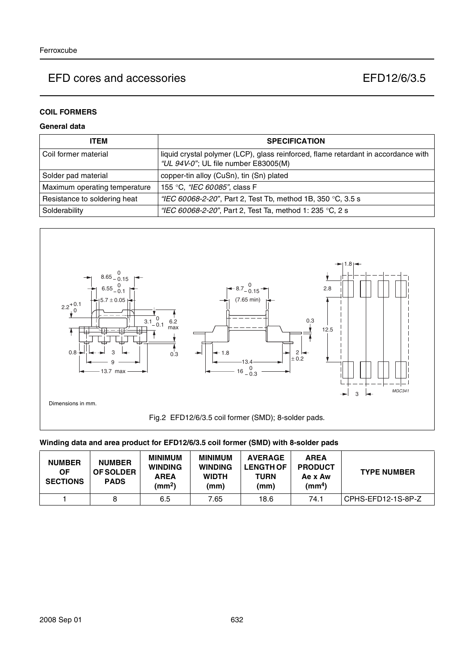## **COIL FORMERS**

### **General data**

| <b>ITEM</b>                   | <b>SPECIFICATION</b>                                                                                                       |
|-------------------------------|----------------------------------------------------------------------------------------------------------------------------|
| l Coil former material        | liquid crystal polymer (LCP), glass reinforced, flame retardant in accordance with<br>"UL 94V-0"; UL file number E83005(M) |
| Solder pad material           | copper-tin alloy (CuSn), tin (Sn) plated                                                                                   |
| Maximum operating temperature | 155 °C, "IEC 60085", class F                                                                                               |
| Resistance to soldering heat  | "IEC 60068-2-20", Part 2, Test Tb, method 1B, 350 °C, 3.5 s                                                                |
| Solderability                 | "IEC 60068-2-20", Part 2, Test Ta, method 1: 235 °C, 2 s                                                                   |



### **Winding data and area product for EFD12/6/3.5 coil former (SMD) with 8-solder pads**

| <b>NUMBER</b><br><b>OF</b><br><b>SECTIONS</b> | <b>NUMBER</b><br><b>OF SOLDER</b><br><b>PADS</b> | <b>MINIMUM</b><br><b>WINDING</b><br><b>AREA</b><br>(mm <sup>2</sup> ) | <b>MINIMUM</b><br><b>WINDING</b><br><b>WIDTH</b><br>(mm) | <b>AVERAGE</b><br><b>LENGTH OF</b><br><b>TURN</b><br>(mm) | <b>AREA</b><br><b>PRODUCT</b><br>Ae x Aw<br>(mm <sup>4</sup> ) | <b>TYPE NUMBER</b> |
|-----------------------------------------------|--------------------------------------------------|-----------------------------------------------------------------------|----------------------------------------------------------|-----------------------------------------------------------|----------------------------------------------------------------|--------------------|
|                                               |                                                  | 6.5                                                                   | 7.65                                                     | 18.6                                                      | 74.1                                                           | CPHS-EFD12-1S-8P-Z |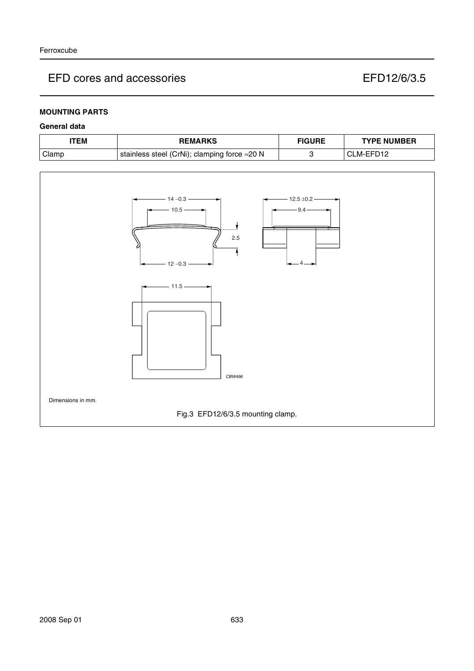## **MOUNTING PARTS**

### **General data**

| TEM   | <b>REMARKS</b>                               | <b>FIGURE</b> | <b>TYPE NUMBER</b> |
|-------|----------------------------------------------|---------------|--------------------|
| Clamp | stainless steel (CrNi); clamping force ≈20 N |               | M-EFL              |